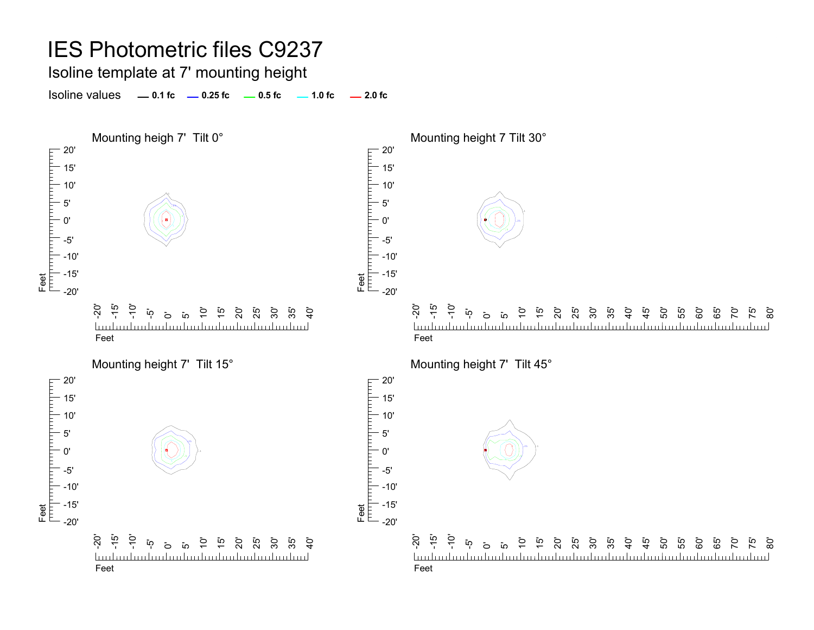Isoline template at 7' mounting height

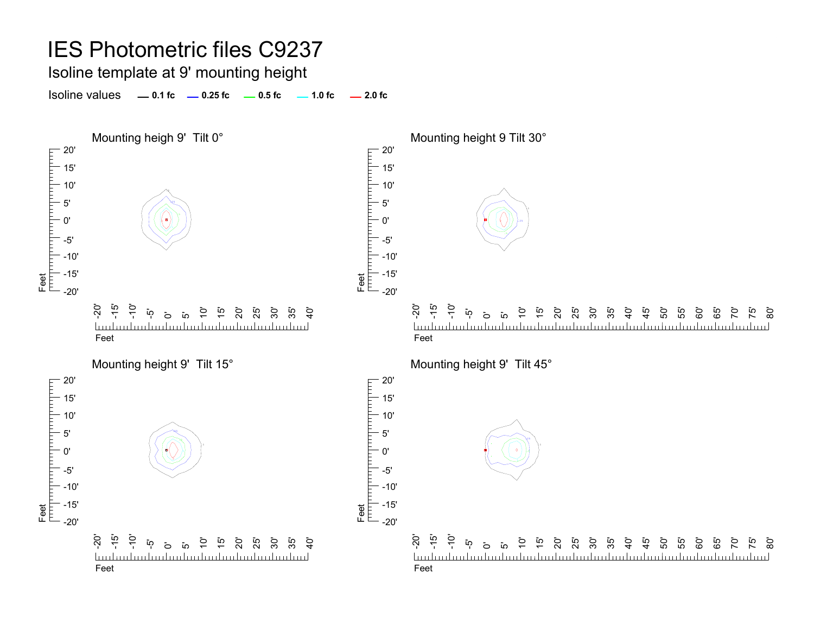#### Isoline template at 9' mounting height

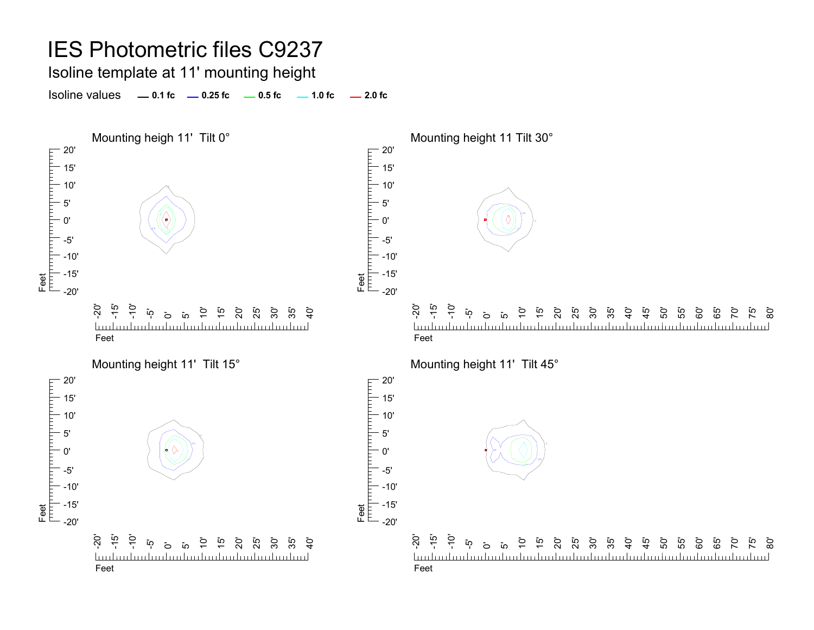Isoline template at 11' mounting height

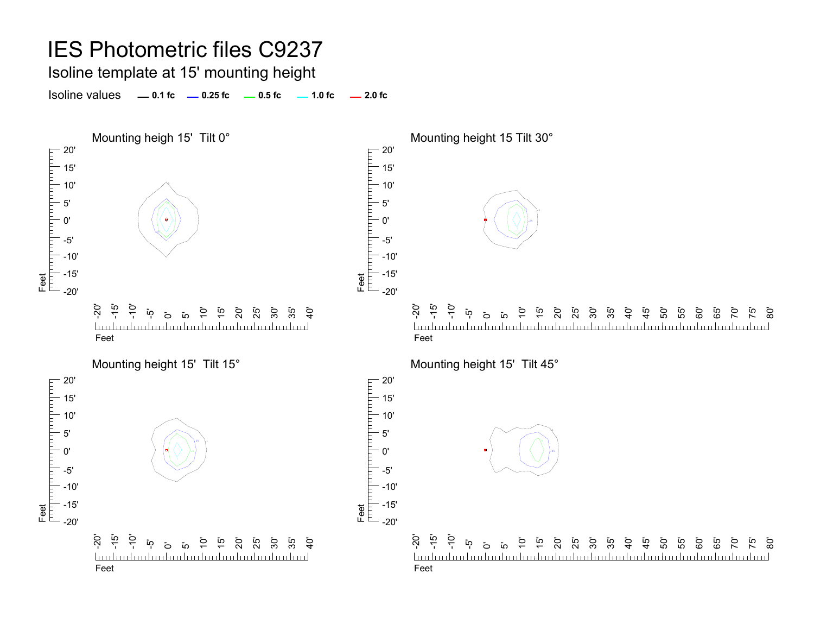Isoline template at 15' mounting height

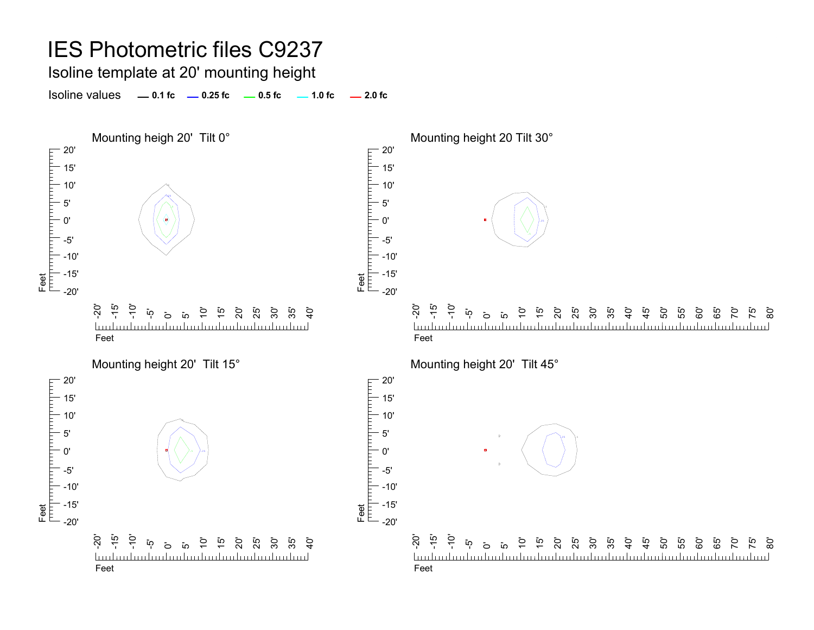Isoline template at 20' mounting height